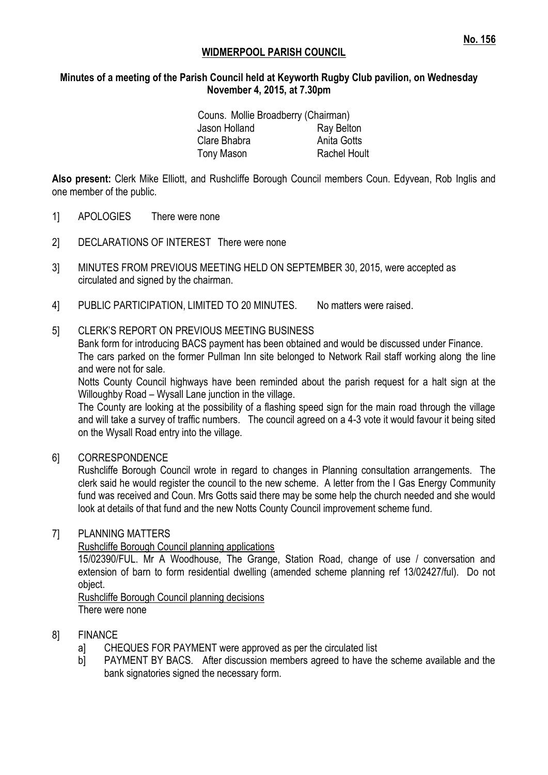## **WIDMERPOOL PARISH COUNCIL**

#### **Minutes of a meeting of the Parish Council held at Keyworth Rugby Club pavilion, on Wednesday November 4, 2015, at 7.30pm**

| Couns. Mollie Broadberry (Chairman) |                     |
|-------------------------------------|---------------------|
| Jason Holland                       | Ray Belton          |
| Clare Bhabra                        | Anita Gotts         |
| Tony Mason                          | <b>Rachel Hoult</b> |

**Also present:** Clerk Mike Elliott, and Rushcliffe Borough Council members Coun. Edyvean, Rob Inglis and one member of the public.

- 1] APOLOGIES There were none
- 2] DECLARATIONS OF INTEREST There were none
- 3] MINUTES FROM PREVIOUS MEETING HELD ON SEPTEMBER 30, 2015, were accepted as circulated and signed by the chairman.
- 4] PUBLIC PARTICIPATION, LIMITED TO 20 MINUTES. No matters were raised.

#### 5] CLERK'S REPORT ON PREVIOUS MEETING BUSINESS

Bank form for introducing BACS payment has been obtained and would be discussed under Finance. The cars parked on the former Pullman Inn site belonged to Network Rail staff working along the line and were not for sale.

Notts County Council highways have been reminded about the parish request for a halt sign at the Willoughby Road – Wysall Lane junction in the village.

The County are looking at the possibility of a flashing speed sign for the main road through the village and will take a survey of traffic numbers. The council agreed on a 4-3 vote it would favour it being sited on the Wysall Road entry into the village.

#### 6] CORRESPONDENCE

Rushcliffe Borough Council wrote in regard to changes in Planning consultation arrangements. The clerk said he would register the council to the new scheme. A letter from the I Gas Energy Community fund was received and Coun. Mrs Gotts said there may be some help the church needed and she would look at details of that fund and the new Notts County Council improvement scheme fund.

#### 7] PLANNING MATTERS

Rushcliffe Borough Council planning applications

15/02390/FUL. Mr A Woodhouse, The Grange, Station Road, change of use / conversation and extension of barn to form residential dwelling (amended scheme planning ref 13/02427/ful). Do not object.

Rushcliffe Borough Council planning decisions There were none

#### 8] FINANCE

- a] CHEQUES FOR PAYMENT were approved as per the circulated list
- b] PAYMENT BY BACS. After discussion members agreed to have the scheme available and the bank signatories signed the necessary form.